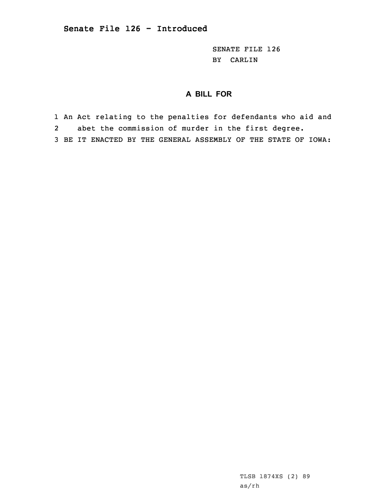SENATE FILE 126 BY CARLIN

## **A BILL FOR**

1 An Act relating to the penalties for defendants who aid and 2abet the commission of murder in the first degree.

3 BE IT ENACTED BY THE GENERAL ASSEMBLY OF THE STATE OF IOWA:

TLSB 1874XS (2) 89 as/rh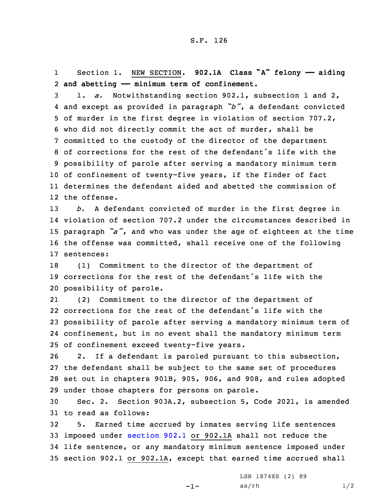1 Section 1. NEW SECTION. **902.1A Class "A" felony —— aiding** 2 **and abetting —— minimum term of confinement.**

 1. *a.* Notwithstanding section 902.1, subsection 1 and 2, and except as provided in paragraph *"b"*, <sup>a</sup> defendant convicted of murder in the first degree in violation of section 707.2, who did not directly commit the act of murder, shall be committed to the custody of the director of the department of corrections for the rest of the defendant's life with the possibility of parole after serving <sup>a</sup> mandatory minimum term of confinement of twenty-five years, if the finder of fact determines the defendant aided and abetted the commission of the offense.

 *b.* <sup>A</sup> defendant convicted of murder in the first degree in violation of section 707.2 under the circumstances described in paragraph *"a"*, and who was under the age of eighteen at the time the offense was committed, shall receive one of the following sentences:

18 (1) Commitment to the director of the department of 19 corrections for the rest of the defendant's life with the 20 possibility of parole.

21 (2) Commitment to the director of the department of corrections for the rest of the defendant's life with the possibility of parole after serving <sup>a</sup> mandatory minimum term of confinement, but in no event shall the mandatory minimum term of confinement exceed twenty-five years.

 2. If <sup>a</sup> defendant is paroled pursuant to this subsection, the defendant shall be subject to the same set of procedures set out in chapters 901B, 905, 906, and 908, and rules adopted under those chapters for persons on parole.

30 Sec. 2. Section 903A.2, subsection 5, Code 2021, is amended 31 to read as follows:

 5. Earned time accrued by inmates serving life sentences imposed under [section](https://www.legis.iowa.gov/docs/code/2021/902.1.pdf) 902.1 or 902.1A shall not reduce the life sentence, or any mandatory minimum sentence imposed under section 902.1 or 902.1A, except that earned time accrued shall

-1-

LSB 1874XS (2) 89  $as/rh$   $1/2$